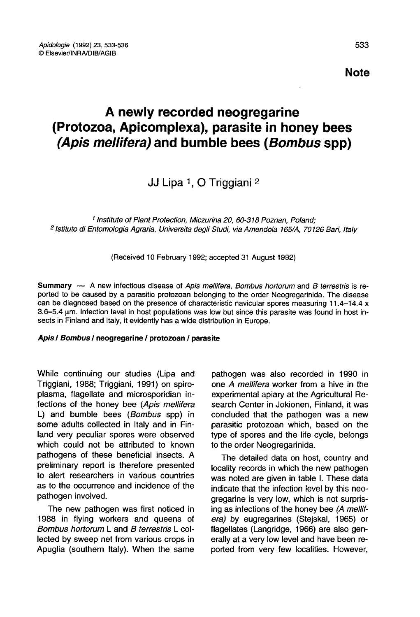# A newly recorded neogregarine (Protozoa, Apicomplexa), parasite in honey bees (Apis mellifera) and bumble bees (Bombus spp) **A newly<br>(Protozoa, Apico)<br>***(Apis mellifera)*<br>J.<br><sup>2</sup> Istituto di Entomologia Agraria,<br><sup>2</sup> Istituto di Entomologia Agraria,

## JJ Lipa 1, O Triggiani 2

1 Institute of Plant Protection, Miczurina 20, 60-318 Poznan, Poland; <sup>2</sup> Istituto di Entomologia Agraria, Universita degli Studi, via Amendola 165/A, 70126 Bari, Italy

(Received 10 February 1992; accepted 31 August 1992)

Summary — A new infectious disease of Apis mellifera, Bombus hortorum and B terrestris is reported to be caused by a parasitic protozoan belonging to the order Neogregarinida. The disease can be diagnosed based on the presence of characteristic navicular spores measuring 11.4-14.4 x 3.6-5.4 μm. Infection level in host populations was low but since this parasite was found in host insects in Finland and Italy, it evidently has a wide distribution in Europe.

#### Apis / Bombus / neogregarine / protozoan / parasite

While continuing our studies (Lipa and Triggiani, 1988; Triggiani, 1991) on spiroplasma, flagellate and microsporidian infections of the honey bee (Apis mellifera L) and bumble bees (Bombus spp) in some adults collected in Italy and in Finland very peculiar spores were observed which could not be attributed to known pathogens of these beneficial insects. A preliminary report is therefore presented to alert researchers in various countries as to the occurrence and incidence of the pathogen involved.

The new pathogen was first noticed in 1988 in flying workers and queens of Bombus hortorum L and B terrestris L collected by sweep net from various crops in Apuglia (southern Italy). When the same pathogen was also recorded in 1990 in one A mellifera worker from a hive in the experimental apiary at the Agricultural Research Center in Jokionen, Finland, it was concluded that the pathogen was a new parasitic protozoan which, based on the type of spores and the life cycle, belongs to the order Neogregarinida.

The detailed data on host, country and locality records in which the new pathogen was noted are given in table I. These data indicate that the infection level by this neogregarine is very low, which is not surprising as infections of the honey bee (A mellifera) by eugregarines (Stejskal, 1965) or flagellates (Langridge, 1966) are also generally at a very low level and have been reported from very few localities. However,

Note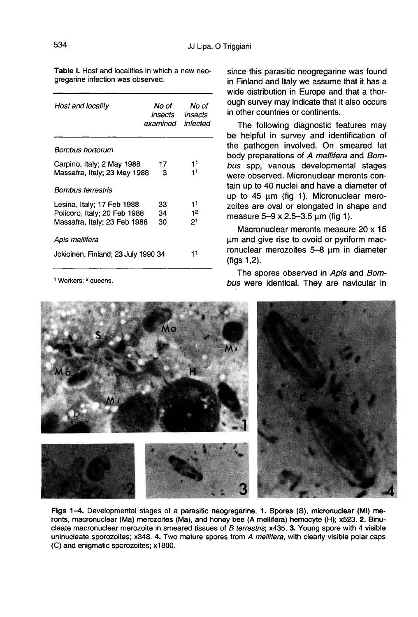Table I. Host and localities in which a new neogregarine infection was observed.

| Host and locality                   | No of<br>insects<br>examined | No of<br>insects<br>infected |
|-------------------------------------|------------------------------|------------------------------|
| Bombus hortorum                     |                              |                              |
| Carpino, Italy; 2 May 1988          | 17                           | 11                           |
| Massafra, Italy; 23 May 1988        | з                            | 11                           |
| Bombus terrestris                   |                              |                              |
| Lesina, Italy; 17 Feb 1988          | 33                           | 11                           |
| Policoro, Italy: 20 Feb 1988        | 34                           | 12                           |
| Massafra, Italy; 23 Feb 1988        | 30                           | 21                           |
| Apis mellifera                      |                              |                              |
| Jokioinen, Finland; 23 July 1990 34 |                              | 11                           |
|                                     |                              |                              |

<sup>1</sup> Workers; <sup>2</sup> queens.

since this parasitic neogregarine was found in Finland and Italy we assume that it has a wide distribution in Europe and that a thorough survey may indicate that it also occurs in other countries or continents.

The following diagnostic features may be helpful in survey and identification of the pathogen involved. On smeared fat body preparations of A mellifera and Bombus spp, various developmental stages were observed. Micronuclear meronts contain up to 40 nuclei and have a diameter of up to 45 μm (fig 1). Micronuclear merozoites are oval or elongated in shape and measure 5-9 x 2.5-3.5 μm (fig 1).

Macronuclear meronts measure 20 x 15 μm and give rise to ovoid or pyriform macronuclear merozoites 5-8 μm in diameter (figs 1,2).

The spores observed in Apis and Bombus were identical. They are navicular in



Figs 1-4. Developmental stages of a parasitic neogregarine. 1. Spores (S), micronuclear (Mi) meronts, macronuclear (Ma) merozoites (Ma), and honey bee (A mellifera) hemocyte (H); x523. 2. Binucleate macronuclear merozoite in smeared tissues of B terrestris; x435. 3. Young spore with 4 visible uninucleate sporozoites; x348. 4. Two mature spores from A mellifera, with clearly visible polar caps (C) and enigmatic sporozoites: x1800.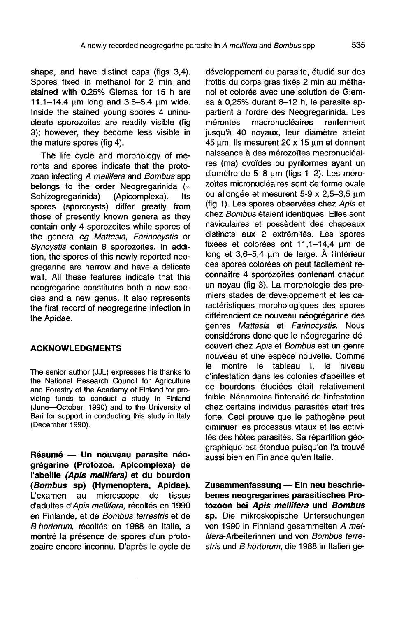shape, and have distinct caps (figs 3,4). Spores fixed in methanol for 2 min and stained with 0.25% Giemsa for 15 h are 11.1—14.4 μm long and 3.6-5.4 μm wide. Inside the stained young spores 4 uninucleate sporozoites are readily visible (fig 3); however, they become less visible in the mature spores (fig 4).

The life cycle and morphology of me-<br>ronts and spores indicate that the protozoan infecting A mellifera and Bombus spp belongs to the order Neogregarinida  $(=\text{Schizogregarinida})$  (Apicomplexa). Its Schizogregarinida) spores (sporocysts) differ greatly from those of presently known genera as they contain only 4 sporozoites while spores of the genera eg Mattesia, Farinocystis or Syncystis contain 8 sporozoites. In addition, the spores of this newly reported neogregarine are narrow and have a delicate wall. All these features indicate that this neogregarine constitutes both a new species and a new genus. It also represents the first record of neogregarine infection in the Apidae.

#### ACKNOWLEDGMENTS

The senior author (JJL) expresses his thanks to the National Research Council for Agriculture and Forestry of the Academy of Finland for providing funds to conduct a study in Finland (June—October, 1990) and to the University of Bari for support in conducting this study in Italy (December 1990).

Résumé — Un nouveau parasite néogrégarine (Protozoa, Apicomplexa) de l'abeille (Apis mellifera) et du bourdon (Bombus sp) (Hymenoptera, Apidae).<br>L'examen au microscope de tissus microscope d'adultes d'Apis mellifera, récoltés en 1990 en Finlande, et de Bombus terrestris et de B hortorum, récoltés en 1988 en Italie, a montré la présence de spores d'un protozoaire encore inconnu. D'après le cycle de

développement du parasite, étudié sur des frottis du corps gras fixés 2 min au méthanol et colorés avec une solution de Giemsa à 0,25% durant 8-12 h, le parasite appartient à l'ordre des Neogregarinida. Les<br>mérontes macronucléaires renferment macronucléaires jusqu'à 40 noyaux, leur diamètre atteint 45 μm. Ils mesurent 20 x 15 μm et donnent naissance à des mérozoïtes macronucléaires (ma) ovoïdes ou pyriformes ayant un diamètre de 5-8 μm (figs 1-2). Les mérozoïtes micronucléaires sont de forme ovale ou allongée et mesurent 5-9 x 2,5-3,5 μm (fig 1). Les spores observées chez Apis et chez Bombus étaient identiques. Elles sont naviculaires et possèdent des chapeaux distincts aux 2 extrémités. Les spores fixées et colorées ont 11,1-14,4 μm de long et 3,6-5,4 μm de large. À l'intérieur des spores colorées on peut facilement reconnaître 4 sporozoïtes contenant chacun un noyau (fig 3). La morphologie des premiers stades de développement et les caractéristiques morphologiques des spores différencient ce nouveau néogrégarine des genres Mattesia et Farinocystis. Nous considérons donc que le néogregarine découvert chez Apis et Bombus est un genre nouveau et une espèce nouvelle. Comme tableau I, le niveau d'infestation dans les colonies d'abeilles et de bourdons étudiées était relativement faible. Néanmoins l'intensité de l'infestation chez certains individus parasités était très forte. Ceci prouve que le pathogène peut diminuer les processus vitaux et les activités des hôtes parasités. Sa répartition géographique est étendue puisqu'on l'a trouvé aussi bien en Finlande qu'en Italie.

Zusammenfassung — Ein neu beschriebenes neogregarines parasitisches Protozoon bei Apis mellifera und Bombus sp. Die mikroskopische Untersuchungen von 1990 in Finnland gesammelten A mellifera-Arbeiterinnen und von Bombus terrestris und B hortorum, die 1988 in Italien ge